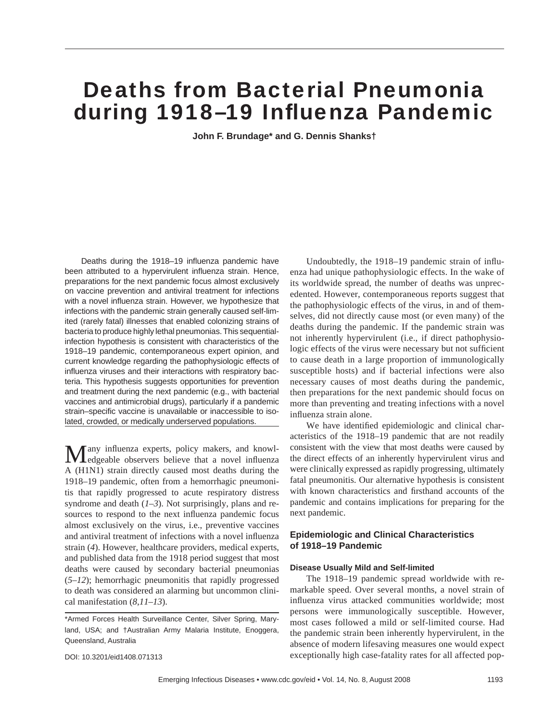# Deaths from Bacterial Pneumonia during 1918-19 Influenza Pandemic

**John F. Brundage\* and G. Dennis Shanks†**

Deaths during the 1918–19 influenza pandemic have been attributed to a hypervirulent influenza strain. Hence, preparations for the next pandemic focus almost exclusively on vaccine prevention and antiviral treatment for infections with a novel influenza strain. However, we hypothesize that infections with the pandemic strain generally caused self-limited (rarely fatal) illnesses that enabled colonizing strains of bacteria to produce highly lethal pneumonias. This sequentialinfection hypothesis is consistent with characteristics of the 1918–19 pandemic, contemporaneous expert opinion, and current knowledge regarding the pathophysiologic effects of influenza viruses and their interactions with respiratory bacteria. This hypothesis suggests opportunities for prevention and treatment during the next pandemic (e.g., with bacterial vaccines and antimicrobial drugs), particularly if a pandemic strain–specific vaccine is unavailable or inaccessible to isolated, crowded, or medically underserved populations.

Many influenza experts, policy makers, and knowledgeable observers believe that a novel influenza A (H1N1) strain directly caused most deaths during the 1918–19 pandemic, often from a hemorrhagic pneumonitis that rapidly progressed to acute respiratory distress syndrome and death (*1–3*). Not surprisingly, plans and resources to respond to the next influenza pandemic focus almost exclusively on the virus, i.e., preventive vaccines and antiviral treatment of infections with a novel influenza strain (*4*). However, healthcare providers, medical experts, and published data from the 1918 period suggest that most deaths were caused by secondary bacterial pneumonias (*5–12*); hemorrhagic pneumonitis that rapidly progressed to death was considered an alarming but uncommon clinical manifestation (*8*,*11*–*13*).

DOI: 10.3201/eid1408.071313

Undoubtedly, the 1918–19 pandemic strain of influenza had unique pathophysiologic effects. In the wake of its worldwide spread, the number of deaths was unprecedented. However, contemporaneous reports suggest that the pathophysiologic effects of the virus, in and of themselves, did not directly cause most (or even many) of the deaths during the pandemic. If the pandemic strain was not inherently hypervirulent (i.e., if direct pathophysiologic effects of the virus were necessary but not sufficient to cause death in a large proportion of immunologically susceptible hosts) and if bacterial infections were also necessary causes of most deaths during the pandemic, then preparations for the next pandemic should focus on more than preventing and treating infections with a novel influenza strain alone.

We have identified epidemiologic and clinical characteristics of the 1918–19 pandemic that are not readily consistent with the view that most deaths were caused by the direct effects of an inherently hypervirulent virus and were clinically expressed as rapidly progressing, ultimately fatal pneumonitis. Our alternative hypothesis is consistent with known characteristics and firsthand accounts of the pandemic and contains implications for preparing for the next pandemic.

# **Epidemiologic and Clinical Characteristics of 1918–19 Pandemic**

#### **Disease Usually Mild and Self-limited**

The 1918–19 pandemic spread worldwide with remarkable speed. Over several months, a novel strain of influenza virus attacked communities worldwide; most persons were immunologically susceptible. However, most cases followed a mild or self-limited course. Had the pandemic strain been inherently hypervirulent, in the absence of modern lifesaving measures one would expect exceptionally high case-fatality rates for all affected pop-

<sup>\*</sup>Armed Forces Health Surveillance Center, Silver Spring, Maryland, USA; and †Australian Army Malaria Institute, Enoggera, Queensland, Australia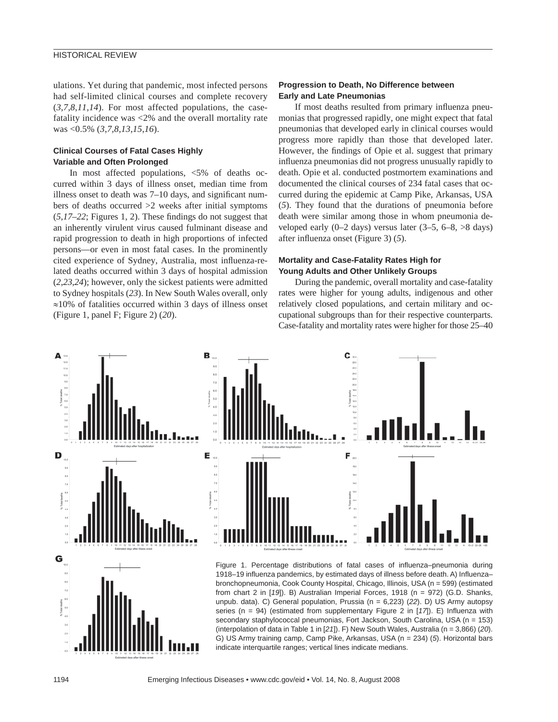ulations. Yet during that pandemic, most infected persons had self-limited clinical courses and complete recovery (*3*,*7*,*8*,*11*,*14*). For most affected populations, the casefatality incidence was <2% and the overall mortality rate was <0.5% (*3*,*7*,*8*,*13*,*15*,*16*).

## **Clinical Courses of Fatal Cases Highly Variable and Often Prolonged**

In most affected populations, <5% of deaths occurred within 3 days of illness onset, median time from illness onset to death was  $7-10$  days, and significant numbers of deaths occurred >2 weeks after initial symptoms  $(5,17-22)$ ; Figures 1, 2). These findings do not suggest that an inherently virulent virus caused fulminant disease and rapid progression to death in high proportions of infected persons—or even in most fatal cases. In the prominently cited experience of Sydney, Australia, most influenza-related deaths occurred within 3 days of hospital admission (*2*,*23*,*24*); however, only the sickest patients were admitted to Sydney hospitals (*23*). In New South Wales overall, only ≈10% of fatalities occurred within 3 days of illness onset (Figure 1, panel F; Figure 2) (*20*).

## **Progression to Death, No Difference between Early and Late Pneumonias**

If most deaths resulted from primary influenza pneumonias that progressed rapidly, one might expect that fatal pneumonias that developed early in clinical courses would progress more rapidly than those that developed later. However, the findings of Opie et al. suggest that primary influenza pneumonias did not progress unusually rapidly to death. Opie et al. conducted postmortem examinations and documented the clinical courses of 234 fatal cases that occurred during the epidemic at Camp Pike, Arkansas, USA (*5*). They found that the durations of pneumonia before death were similar among those in whom pneumonia developed early  $(0-2 \text{ days})$  versus later  $(3-5, 6-8, >8 \text{ days})$ after influenza onset (Figure 3) (5).

# **Mortality and Case-Fatality Rates High for Young Adults and Other Unlikely Groups**

During the pandemic, overall mortality and case-fatality rates were higher for young adults, indigenous and other relatively closed populations, and certain military and occupational subgroups than for their respective counterparts. Case-fatality and mortality rates were higher for those 25–40

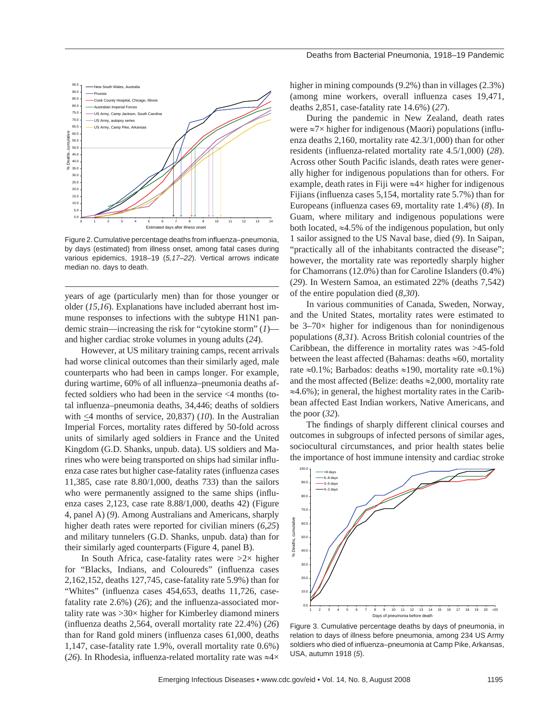

Figure 2. Cumulative percentage deaths from influenza-pneumonia, by days (estimated) from illness onset, among fatal cases during various epidemics, 1918–19 (*5,17–22*). Vertical arrows indicate median no. days to death.

years of age (particularly men) than for those younger or older (*15*,*16*). Explanations have included aberrant host immune responses to infections with the subtype H1N1 pandemic strain—increasing the risk for "cytokine storm" (*1*) and higher cardiac stroke volumes in young adults (*24*).

However, at US military training camps, recent arrivals had worse clinical outcomes than their similarly aged, male counterparts who had been in camps longer. For example, during wartime, 60% of all influenza-pneumonia deaths affected soldiers who had been in the service <4 months (total influenza–pneumonia deaths, 34,446; deaths of soldiers with <4 months of service, 20,837) (*10*). In the Australian Imperial Forces, mortality rates differed by 50-fold across units of similarly aged soldiers in France and the United Kingdom (G.D. Shanks, unpub. data). US soldiers and Marines who were being transported on ships had similar influenza case rates but higher case-fatality rates (influenza cases 11,385, case rate 8.80/1,000, deaths 733) than the sailors who were permanently assigned to the same ships (influenza cases 2,123, case rate 8.88/1,000, deaths 42) (Figure 4, panel A) (*9*). Among Australians and Americans, sharply higher death rates were reported for civilian miners (*6*,*25*) and military tunnelers (G.D. Shanks, unpub. data) than for their similarly aged counterparts (Figure 4, panel B).

In South Africa, case-fatality rates were  $>2\times$  higher for "Blacks, Indians, and Coloureds" (influenza cases 2,162,152, deaths 127,745, case-fatality rate 5.9%) than for "Whites" (influenza cases 454,653, deaths 11,726, casefatality rate 2.6%) (26); and the influenza-associated mortality rate was  $>30\times$  higher for Kimberley diamond miners  $(influenza deaths 2,564, overall mortality rate 22.4%) (26)$ than for Rand gold miners (influenza cases 61,000, deaths 1,147, case-fatality rate 1.9%, overall mortality rate 0.6%) (26). In Rhodesia, influenza-related mortality rate was  $\approx$ 4×

higher in mining compounds (9.2%) than in villages (2.3%) (among mine workers, overall influenza cases 19,471, deaths 2,851, case-fatality rate 14.6%) (*27*).

During the pandemic in New Zealand, death rates were  $\approx 7 \times$  higher for indigenous (Maori) populations (influenza deaths 2,160, mortality rate 42.3/1,000) than for other residents (influenza-related mortality rate 4.5/1,000) (28). Across other South Pacific islands, death rates were generally higher for indigenous populations than for others. For example, death rates in Fiji were ≈4× higher for indigenous Fijians (influenza cases 5,154, mortality rate 5.7%) than for Europeans (influenza cases 69, mortality rate 1.4%) (8). In Guam, where military and indigenous populations were both located,  $\approx$ 4.5% of the indigenous population, but only 1 sailor assigned to the US Naval base, died (*9*). In Saipan, "practically all of the inhabitants contracted the disease"; however, the mortality rate was reportedly sharply higher for Chamorrans (12.0%) than for Caroline Islanders (0.4%) (*29*). In Western Samoa, an estimated 22% (deaths 7,542) of the entire population died (*8*,*30*).

In various communities of Canada, Sweden, Norway, and the United States, mortality rates were estimated to be  $3-70\times$  higher for indigenous than for nonindigenous populations (*8*,*31*). Across British colonial countries of the Caribbean, the difference in mortality rates was >45-fold between the least affected (Bahamas: deaths  $\approx 60$ , mortality rate ≈0.1%; Barbados: deaths ≈190, mortality rate ≈0.1%) and the most affected (Belize: deaths ≈2,000, mortality rate ≈4.6%); in general, the highest mortality rates in the Caribbean affected East Indian workers, Native Americans, and the poor (*32*).

The findings of sharply different clinical courses and outcomes in subgroups of infected persons of similar ages, sociocultural circumstances, and prior health states belie the importance of host immune intensity and cardiac stroke



Figure 3. Cumulative percentage deaths by days of pneumonia, in relation to days of illness before pneumonia, among 234 US Army soldiers who died of influenza–pneumonia at Camp Pike, Arkansas, USA, autumn 1918 (*5*).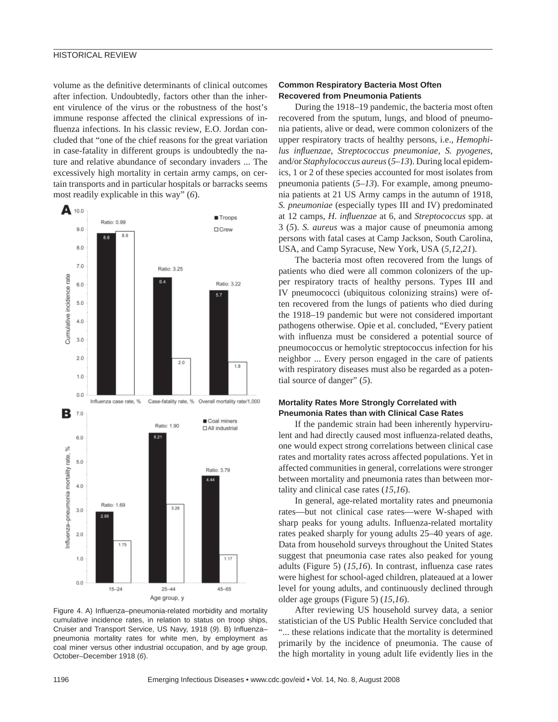## HISTORICAL REVIEW

volume as the definitive determinants of clinical outcomes after infection. Undoubtedly, factors other than the inherent virulence of the virus or the robustness of the host's immune response affected the clinical expressions of influenza infections. In his classic review, E.O. Jordan concluded that "one of the chief reasons for the great variation in case-fatality in different groups is undoubtedly the nature and relative abundance of secondary invaders ... The excessively high mortality in certain army camps, on certain transports and in particular hospitals or barracks seems most readily explicable in this way" (*6*).



Figure 4. A) Influenza-pneumonia-related morbidity and mortality cumulative incidence rates, in relation to status on troop ships, Cruiser and Transport Service, US Navy, 1918 (9). B) Influenzapneumonia mortality rates for white men, by employment as coal miner versus other industrial occupation, and by age group, October–December 1918 (*6*).

## **Common Respiratory Bacteria Most Often Recovered from Pneumonia Patients**

During the 1918–19 pandemic, the bacteria most often recovered from the sputum, lungs, and blood of pneumonia patients, alive or dead, were common colonizers of the upper respiratory tracts of healthy persons, i.e., *Hemophilus infl uenzae*, *Streptococcus pneumoniae*, *S. pyogenes*, and/or *Staphylococcus aureus* (*5–13*). During local epidemics, 1 or 2 of these species accounted for most isolates from pneumonia patients (*5–13*). For example, among pneumonia patients at 21 US Army camps in the autumn of 1918, *S. pneumoniae* (especially types III and IV) predominated at 12 camps, *H. influenzae* at 6, and *Streptococcus* spp. at 3 (*5*). *S. aureus* was a major cause of pneumonia among persons with fatal cases at Camp Jackson, South Carolina, USA, and Camp Syracuse, New York, USA (*5*,*12*,*21*).

The bacteria most often recovered from the lungs of patients who died were all common colonizers of the upper respiratory tracts of healthy persons. Types III and IV pneumococci (ubiquitous colonizing strains) were often recovered from the lungs of patients who died during the 1918–19 pandemic but were not considered important pathogens otherwise. Opie et al. concluded, "Every patient with influenza must be considered a potential source of pneumococcus or hemolytic streptococcus infection for his neighbor ... Every person engaged in the care of patients with respiratory diseases must also be regarded as a potential source of danger" (*5*).

## **Mortality Rates More Strongly Correlated with Pneumonia Rates than with Clinical Case Rates**

If the pandemic strain had been inherently hypervirulent and had directly caused most influenza-related deaths, one would expect strong correlations between clinical case rates and mortality rates across affected populations. Yet in affected communities in general, correlations were stronger between mortality and pneumonia rates than between mortality and clinical case rates (*15*,*16*).

In general, age-related mortality rates and pneumonia rates—but not clinical case rates—were W-shaped with sharp peaks for young adults. Influenza-related mortality rates peaked sharply for young adults 25–40 years of age. Data from household surveys throughout the United States suggest that pneumonia case rates also peaked for young adults (Figure 5) (15,16). In contrast, influenza case rates were highest for school-aged children, plateaued at a lower level for young adults, and continuously declined through older age groups (Figure 5) (*15*,*16*).

After reviewing US household survey data, a senior statistician of the US Public Health Service concluded that "... these relations indicate that the mortality is determined primarily by the incidence of pneumonia. The cause of the high mortality in young adult life evidently lies in the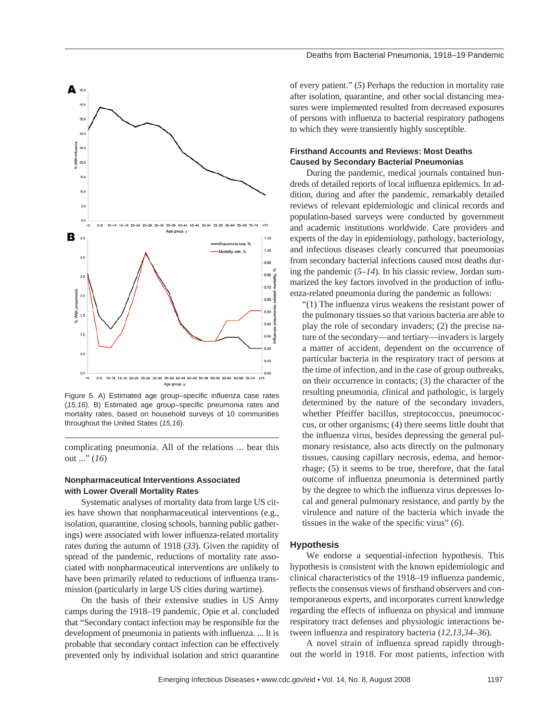

Figure 5. A) Estimated age group–specific influenza case rates (15,16). B) Estimated age group–specific pneumonia rates and mortality rates, based on household surveys of 10 communities throughout the United States (*15,16*).

complicating pneumonia. All of the relations ... bear this out ..." (*16*)

## **Nonpharmaceutical Interventions Associated with Lower Overall Mortality Rates**

Systematic analyses of mortality data from large US cities have shown that nonpharmaceutical interventions (e.g., isolation, quarantine, closing schools, banning public gatherings) were associated with lower influenza-related mortality rates during the autumn of 1918 (*33*). Given the rapidity of spread of the pandemic, reductions of mortality rate associated with nonpharmaceutical interventions are unlikely to have been primarily related to reductions of influenza transmission (particularly in large US cities during wartime).

On the basis of their extensive studies in US Army camps during the 1918–19 pandemic, Opie et al. concluded that "Secondary contact infection may be responsible for the development of pneumonia in patients with influenza. ... It is probable that secondary contact infection can be effectively prevented only by individual isolation and strict quarantine of every patient." (*5*) Perhaps the reduction in mortality rate after isolation, quarantine, and other social distancing measures were implemented resulted from decreased exposures of persons with influenza to bacterial respiratory pathogens to which they were transiently highly susceptible.

#### **Firsthand Accounts and Reviews: Most Deaths Caused by Secondary Bacterial Pneumonias**

During the pandemic, medical journals contained hundreds of detailed reports of local influenza epidemics. In addition, during and after the pandemic, remarkably detailed reviews of relevant epidemiologic and clinical records and population-based surveys were conducted by government and academic institutions worldwide. Care providers and experts of the day in epidemiology, pathology, bacteriology, and infectious diseases clearly concurred that pneumonias from secondary bacterial infections caused most deaths during the pandemic (*5–14*). In his classic review, Jordan summarized the key factors involved in the production of influenza-related pneumonia during the pandemic as follows:

" $(1)$  The influenza virus weakens the resistant power of the pulmonary tissues so that various bacteria are able to play the role of secondary invaders; (2) the precise nature of the secondary—and tertiary—invaders is largely a matter of accident, dependent on the occurrence of particular bacteria in the respiratory tract of persons at the time of infection, and in the case of group outbreaks, on their occurrence in contacts; (3) the character of the resulting pneumonia, clinical and pathologic, is largely determined by the nature of the secondary invaders, whether Pfeiffer bacillus, streptococcus, pneumococcus, or other organisms; (4) there seems little doubt that the influenza virus, besides depressing the general pulmonary resistance, also acts directly on the pulmonary tissues, causing capillary necrosis, edema, and hemorrhage; (5) it seems to be true, therefore, that the fatal outcome of influenza pneumonia is determined partly by the degree to which the influenza virus depresses local and general pulmonary resistance, and partly by the virulence and nature of the bacteria which invade the tissues in the wake of the specific virus" (6).

#### **Hypothesis**

We endorse a sequential-infection hypothesis. This hypothesis is consistent with the known epidemiologic and clinical characteristics of the 1918–19 influenza pandemic, reflects the consensus views of firsthand observers and contemporaneous experts, and incorporates current knowledge regarding the effects of influenza on physical and immune respiratory tract defenses and physiologic interactions between influenza and respiratory bacteria (12,13,34–36).

A novel strain of influenza spread rapidly throughout the world in 1918. For most patients, infection with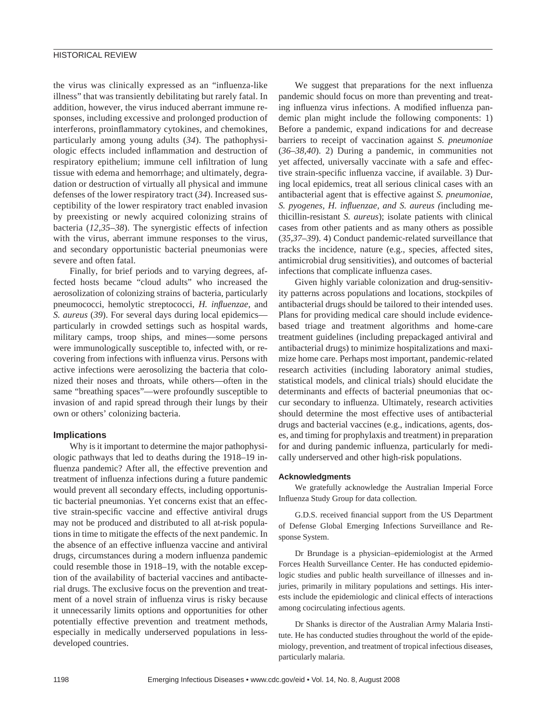the virus was clinically expressed as an "influenza-like illness" that was transiently debilitating but rarely fatal. In addition, however, the virus induced aberrant immune responses, including excessive and prolonged production of interferons, proinflammatory cytokines, and chemokines, particularly among young adults (*34*). The pathophysiologic effects included inflammation and destruction of respiratory epithelium; immune cell infiltration of lung tissue with edema and hemorrhage; and ultimately, degradation or destruction of virtually all physical and immune defenses of the lower respiratory tract (*34*). Increased susceptibility of the lower respiratory tract enabled invasion by preexisting or newly acquired colonizing strains of bacteria (*12*,*35*–*38*). The synergistic effects of infection with the virus, aberrant immune responses to the virus, and secondary opportunistic bacterial pneumonias were severe and often fatal.

Finally, for brief periods and to varying degrees, affected hosts became "cloud adults" who increased the aerosolization of colonizing strains of bacteria, particularly pneumococci, hemolytic streptococci, *H. influenzae*, and *S. aureus* (*39*). For several days during local epidemics particularly in crowded settings such as hospital wards, military camps, troop ships, and mines—some persons were immunologically susceptible to, infected with, or recovering from infections with influenza virus. Persons with active infections were aerosolizing the bacteria that colonized their noses and throats, while others—often in the same "breathing spaces"—were profoundly susceptible to invasion of and rapid spread through their lungs by their own or others' colonizing bacteria.

#### **Implications**

Why is it important to determine the major pathophysiologic pathways that led to deaths during the 1918–19 influenza pandemic? After all, the effective prevention and treatment of influenza infections during a future pandemic would prevent all secondary effects, including opportunistic bacterial pneumonias. Yet concerns exist that an effective strain-specific vaccine and effective antiviral drugs may not be produced and distributed to all at-risk populations in time to mitigate the effects of the next pandemic. In the absence of an effective influenza vaccine and antiviral drugs, circumstances during a modern influenza pandemic could resemble those in 1918–19, with the notable exception of the availability of bacterial vaccines and antibacterial drugs. The exclusive focus on the prevention and treatment of a novel strain of influenza virus is risky because it unnecessarily limits options and opportunities for other potentially effective prevention and treatment methods, especially in medically underserved populations in lessdeveloped countries.

We suggest that preparations for the next influenza pandemic should focus on more than preventing and treating influenza virus infections. A modified influenza pandemic plan might include the following components: 1) Before a pandemic, expand indications for and decrease barriers to receipt of vaccination against *S. pneumoniae* (*36*–*38*,*40*). 2) During a pandemic, in communities not yet affected, universally vaccinate with a safe and effective strain-specific influenza vaccine, if available. 3) During local epidemics, treat all serious clinical cases with an antibacterial agent that is effective against *S. pneumoniae*, *S. pyogenes, H. infl uenzae, and S. aureus (*including methicillin-resistant *S. aureus*); isolate patients with clinical cases from other patients and as many others as possible (*35,37–39*). 4) Conduct pandemic-related surveillance that tracks the incidence, nature (e.g., species, affected sites, antimicrobial drug sensitivities), and outcomes of bacterial infections that complicate influenza cases.

Given highly variable colonization and drug-sensitivity patterns across populations and locations, stockpiles of antibacterial drugs should be tailored to their intended uses. Plans for providing medical care should include evidencebased triage and treatment algorithms and home-care treatment guidelines (including prepackaged antiviral and antibacterial drugs) to minimize hospitalizations and maximize home care. Perhaps most important, pandemic-related research activities (including laboratory animal studies, statistical models, and clinical trials) should elucidate the determinants and effects of bacterial pneumonias that occur secondary to influenza. Ultimately, research activities should determine the most effective uses of antibacterial drugs and bacterial vaccines (e.g., indications, agents, doses, and timing for prophylaxis and treatment) in preparation for and during pandemic influenza, particularly for medically underserved and other high-risk populations.

#### **Acknowledgments**

We gratefully acknowledge the Australian Imperial Force Influenza Study Group for data collection.

G.D.S. received financial support from the US Department of Defense Global Emerging Infections Surveillance and Response System.

Dr Brundage is a physician–epidemiologist at the Armed Forces Health Surveillance Center. He has conducted epidemiologic studies and public health surveillance of illnesses and injuries, primarily in military populations and settings. His interests include the epidemiologic and clinical effects of interactions among cocirculating infectious agents.

Dr Shanks is director of the Australian Army Malaria Institute. He has conducted studies throughout the world of the epidemiology, prevention, and treatment of tropical infectious diseases, particularly malaria.